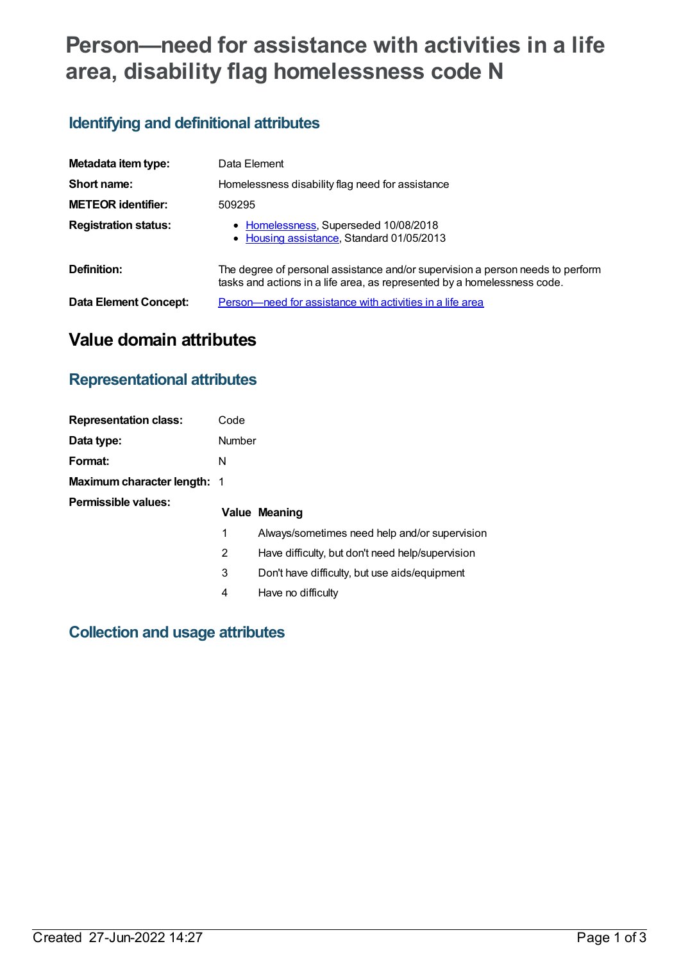# **Person—need for assistance with activities in a life area, disability flag homelessness code N**

# **Identifying and definitional attributes**

| Metadata item type:          | Data Element                                                                                                                                               |
|------------------------------|------------------------------------------------------------------------------------------------------------------------------------------------------------|
| Short name:                  | Homelessness disability flag need for assistance                                                                                                           |
| <b>METEOR identifier:</b>    | 509295                                                                                                                                                     |
| <b>Registration status:</b>  | • Homelessness, Superseded 10/08/2018<br>• Housing assistance, Standard 01/05/2013                                                                         |
| Definition:                  | The degree of personal assistance and/or supervision a person needs to perform<br>tasks and actions in a life area, as represented by a homelessness code. |
| <b>Data Element Concept:</b> | <u>Person—need for assistance with activities in a life area</u>                                                                                           |

# **Value domain attributes**

### **Representational attributes**

| <b>Representation class:</b>       | Code   |                                                  |
|------------------------------------|--------|--------------------------------------------------|
| Data type:                         | Number |                                                  |
| Format:                            | N      |                                                  |
| <b>Maximum character length: 1</b> |        |                                                  |
| Permissible values:                |        | <b>Value Meaning</b>                             |
|                                    | 1      | Always/sometimes need help and/or supervision    |
|                                    | 2      | Have difficulty, but don't need help/supervision |
|                                    | 3      | Don't have difficulty, but use aids/equipment    |
|                                    | 4      | Have no difficulty                               |
|                                    |        |                                                  |

### **Collection and usage attributes**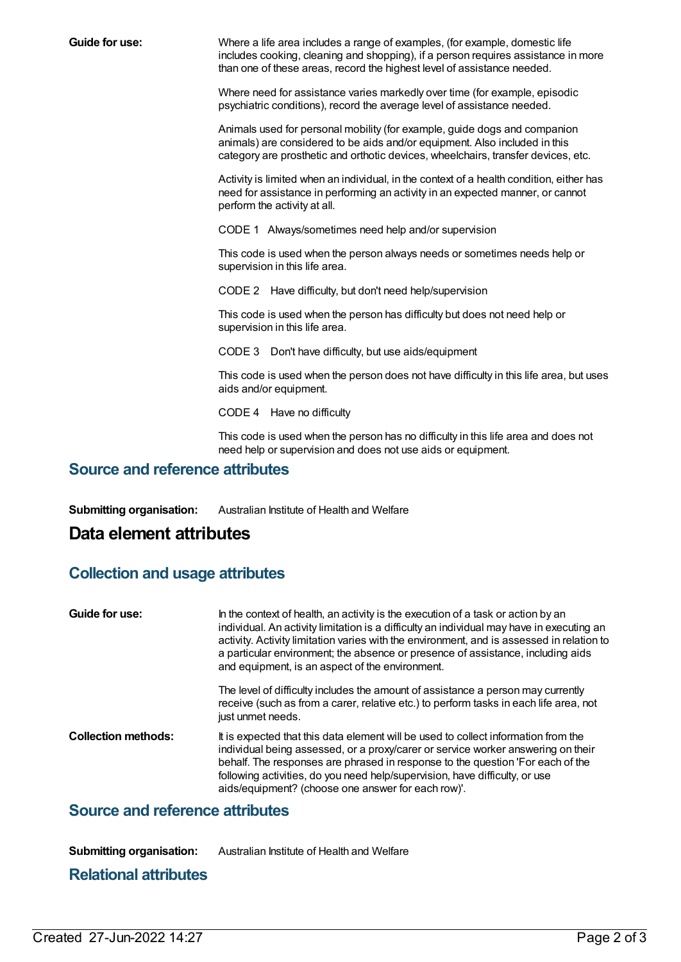**Guide for use:** Where a life area includes a range of examples, (for example, domestic life includes cooking, cleaning and shopping), if a person requires assistance in more than one of these areas, record the highest level of assistance needed.

> Where need for assistance varies markedly over time (for example, episodic psychiatric conditions), record the average level of assistance needed.

Animals used for personal mobility (for example, guide dogs and companion animals) are considered to be aids and/or equipment. Also included in this category are prosthetic and orthotic devices, wheelchairs, transfer devices, etc.

Activity is limited when an individual, in the context of a health condition, either has need for assistance in performing an activity in an expected manner, or cannot perform the activity at all.

CODE 1 Always/sometimes need help and/or supervision

This code is used when the person always needs or sometimes needs help or supervision in this life area.

CODE 2 Have difficulty, but don't need help/supervision

This code is used when the person has difficulty but does not need help or supervision in this life area.

CODE 3 Don't have difficulty, but use aids/equipment

This code is used when the person does not have difficulty in this life area, but uses aids and/or equipment.

CODE 4 Have no difficulty

This code is used when the person has no difficulty in this life area and does not need help or supervision and does not use aids or equipment.

#### **Source and reference attributes**

**Submitting organisation:** Australian Institute of Health and Welfare

## **Data element attributes**

#### **Collection and usage attributes**

| Guide for use:             | In the context of health, an activity is the execution of a task or action by an<br>individual. An activity limitation is a difficulty an individual may have in executing an<br>activity. Activity limitation varies with the environment, and is assessed in relation to<br>a particular environment; the absence or presence of assistance, including aids<br>and equipment, is an aspect of the environment. |
|----------------------------|------------------------------------------------------------------------------------------------------------------------------------------------------------------------------------------------------------------------------------------------------------------------------------------------------------------------------------------------------------------------------------------------------------------|
|                            | The level of difficulty includes the amount of assistance a person may currently<br>receive (such as from a carer, relative etc.) to perform tasks in each life area, not<br>just unmet needs.                                                                                                                                                                                                                   |
| <b>Collection methods:</b> | It is expected that this data element will be used to collect information from the<br>individual being assessed, or a proxy/carer or service worker answering on their<br>behalf. The responses are phrased in response to the question 'For each of the<br>following activities, do you need help/supervision, have difficulty, or use<br>aids/equipment? (choose one answer for each row)'.                    |

#### **Source and reference attributes**

**Submitting organisation:** Australian Institute of Health and Welfare

#### **Relational attributes**